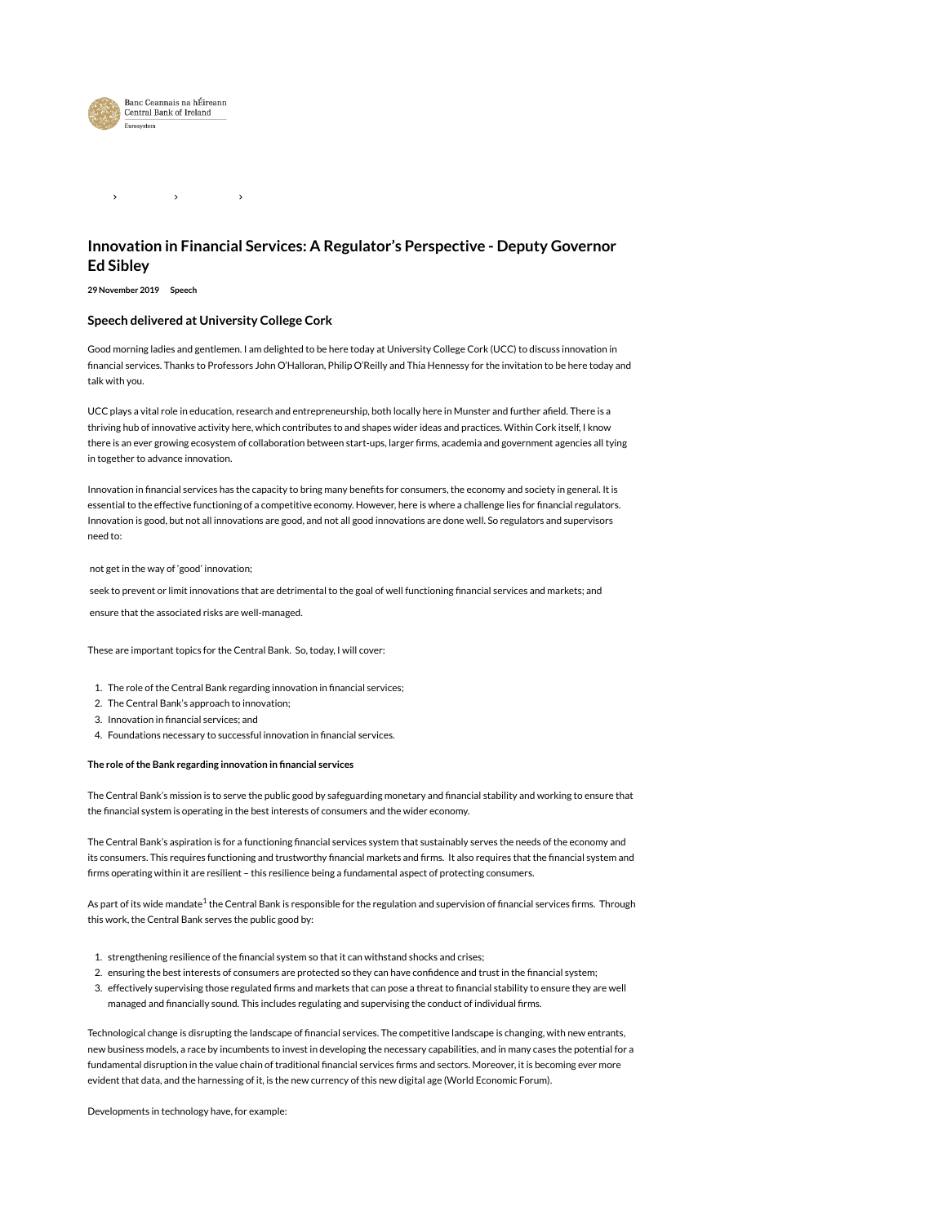

#### $\rightarrow$  $\rightarrow$

# Innovation in Financial Services: A Regulator's Perspective - Deputy Governor Ed Sibley

### 29 November 2019 Speech

## Speech delivered at University College Cork

Good morning ladies and gentlemen. I am delighted to be here today at University College Cork (UCC) to discuss innovation in financial services. Thanks to Professors John O'Halloran, Philip O'Reilly and Thia Hennessy for the invitation to be here today and talk with you.

UCC plays a vital role in education, research and entrepreneurship, both locally here in Munster and further afield. There is a thriving hub of innovative activity here, which contributes to and shapes wider ideas and practices. Within Cork itself, I know there is an ever growing ecosystem of collaboration between start-ups, larger firms, academia and government agencies all tying in together to advance innovation.

Innovation in financial services has the capacity to bring many benefits for consumers, the economy and society in general. It is essential to the effective functioning of a competitive economy. However, here is where a challenge lies for financial regulators. Innovation is good, but not all innovations are good, and not all good innovations are done well. So regulators and supervisors need to:

### not get in the way of 'good' innovation;

seek to prevent or limit innovations that are detrimental to the goal of well functioning financial services and markets; and

ensure that the associated risks are well-managed.

These are important topics for the Central Bank. So, today, I will cover:

- 1. The role of the Central Bank regarding innovation in financial services;
- 2. The Central Bank's approach to innovation;
- 3. Innovation in financial services; and
- 4. Foundations necessary to successful innovation in financial services.

### The role of the Bank regarding innovation in financial services

The Central Bank's mission is to serve the public good by safeguarding monetary and financial stability and working to ensure that the financial system is operating in the best interests of consumers and the wider economy.

The Central Bank's aspiration is for a functioning financial services system that sustainably serves the needs of the economy and its consumers. This requires functioning and trustworthy financial markets and firms. It also requires that the financial system and firms operating within it are resilient – this resilience being a fundamental aspect of protecting consumers.

As part of its wide mandate<sup>1</sup> the Central Bank is responsible for the regulation and supervision of financial services firms. Through this work, the Central Bank serves the public good by:

- 1. strengthening resilience of the financial system so that it can withstand shocks and crises;
- 2. ensuring the best interests of consumers are protected so they can have confidence and trust in the financial system;
- 3. effectively supervising those regulated firms and markets that can pose a threat to financial stability to ensure they are well managed and financially sound. This includes regulating and supervising the conduct of individual firms.

Technological change is disrupting the landscape of financial services. The competitive landscape is changing, with new entrants, new business models, a race by incumbents to invest in developing the necessary capabilities, and in many cases the potential for a fundamental disruption in the value chain of traditional financial services firms and sectors. Moreover, it is becoming ever more evident that data, and the harnessing of it, is the new currency of this new digital age (World Economic Forum).

Developments in technology have, for example: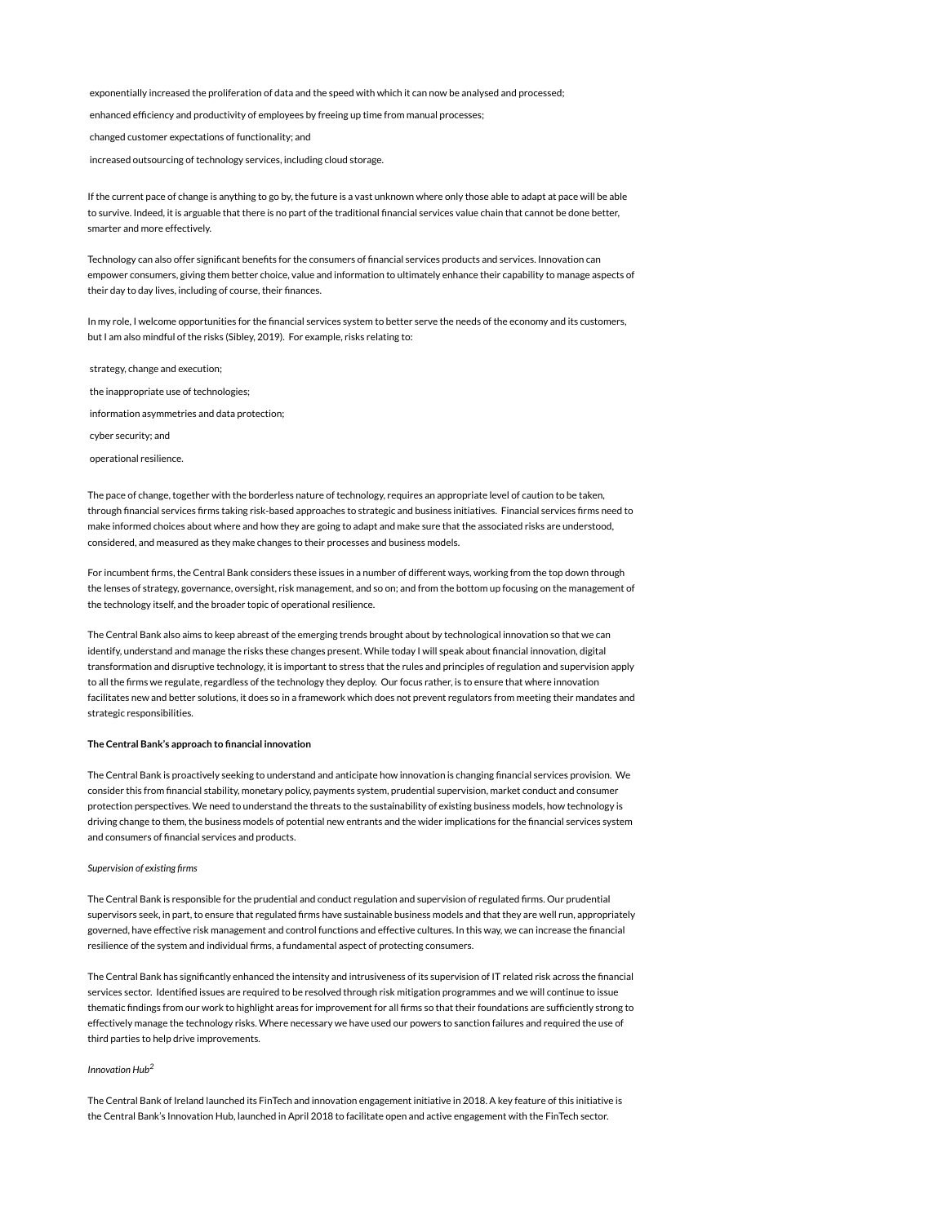exponentially increased the proliferation of data and the speed with which it can now be analysed and processed;

enhanced efficiency and productivity of employees by freeing up time from manual processes;

changed customer expectations of functionality; and

increased outsourcing of technology services, including cloud storage.

If the current pace of change is anything to go by, the future is a vast unknown where only those able to adapt at pace will be able to survive. Indeed, it is arguable that there is no part of the traditional financial services value chain that cannot be done better, smarter and more effectively.

Technology can also offer significant benefits for the consumers of financial services products and services. Innovation can empower consumers, giving them better choice, value and information to ultimately enhance their capability to manage aspects of their day to day lives, including of course, their finances.

In my role, I welcome opportunities for the financial services system to better serve the needs of the economy and its customers, but I am also mindful of the risks (Sibley, 2019). For example, risks relating to:

strategy, change and execution;

the inappropriate use of technologies;

information asymmetries and data protection;

cyber security; and

operational resilience.

The pace of change, together with the borderless nature of technology, requires an appropriate level of caution to be taken, through financial services firms taking risk-based approaches to strategic and business initiatives. Financial services firms need to make informed choices about where and how they are going to adapt and make sure that the associated risks are understood, considered, and measured as they make changes to their processes and business models.

For incumbent firms, the Central Bank considers these issues in a number of different ways, working from the top down through the lenses of strategy, governance, oversight, risk management, and so on; and from the bottom up focusing on the management of the technology itself, and the broader topic of operational resilience.

The Central Bank also aims to keep abreast of the emerging trends brought about by technological innovation so that we can identify, understand and manage the risks these changes present. While today I will speak about financial innovation, digital transformation and disruptive technology, it is important to stress that the rules and principles of regulation and supervision apply to all the firms we regulate, regardless of the technology they deploy. Our focus rather, is to ensure that where innovation facilitates new and better solutions, it does so in a framework which does not prevent regulators from meeting their mandates and strategic responsibilities.

### The Central Bank's approach to financial innovation

The Central Bank is proactively seeking to understand and anticipate how innovation is changing financial services provision. We consider this from financial stability, monetary policy, payments system, prudential supervision, market conduct and consumer protection perspectives. We need to understand the threats to the sustainability of existing business models, how technology is driving change to them, the business models of potential new entrants and the wider implications for the financial services system and consumers of financial services and products.

### Supervision of existing firms

The Central Bank is responsible for the prudential and conduct regulation and supervision of regulated firms. Our prudential supervisors seek, in part, to ensure that regulated firms have sustainable business models and that they are well run, appropriately governed, have effective risk management and control functions and effective cultures. In this way, we can increase the financial resilience of the system and individual firms, a fundamental aspect of protecting consumers.

The Central Bank has significantly enhanced the intensity and intrusiveness of its supervision of IT related risk across the financial services sector. Identified issues are required to be resolved through risk mitigation programmes and we will continue to issue thematic findings from our work to highlight areas for improvement for all firms so that their foundations are sufficiently strong to effectively manage the technology risks. Where necessary we have used our powers to sanction failures and required the use of third parties to help drive improvements.

#### Innovation Hub 2

The Central Bank of Ireland launched its FinTech and innovation engagement initiative in 2018. A key feature of this initiative is the Central Bank's Innovation Hub, launched in April 2018 to facilitate open and active engagement with the FinTech sector.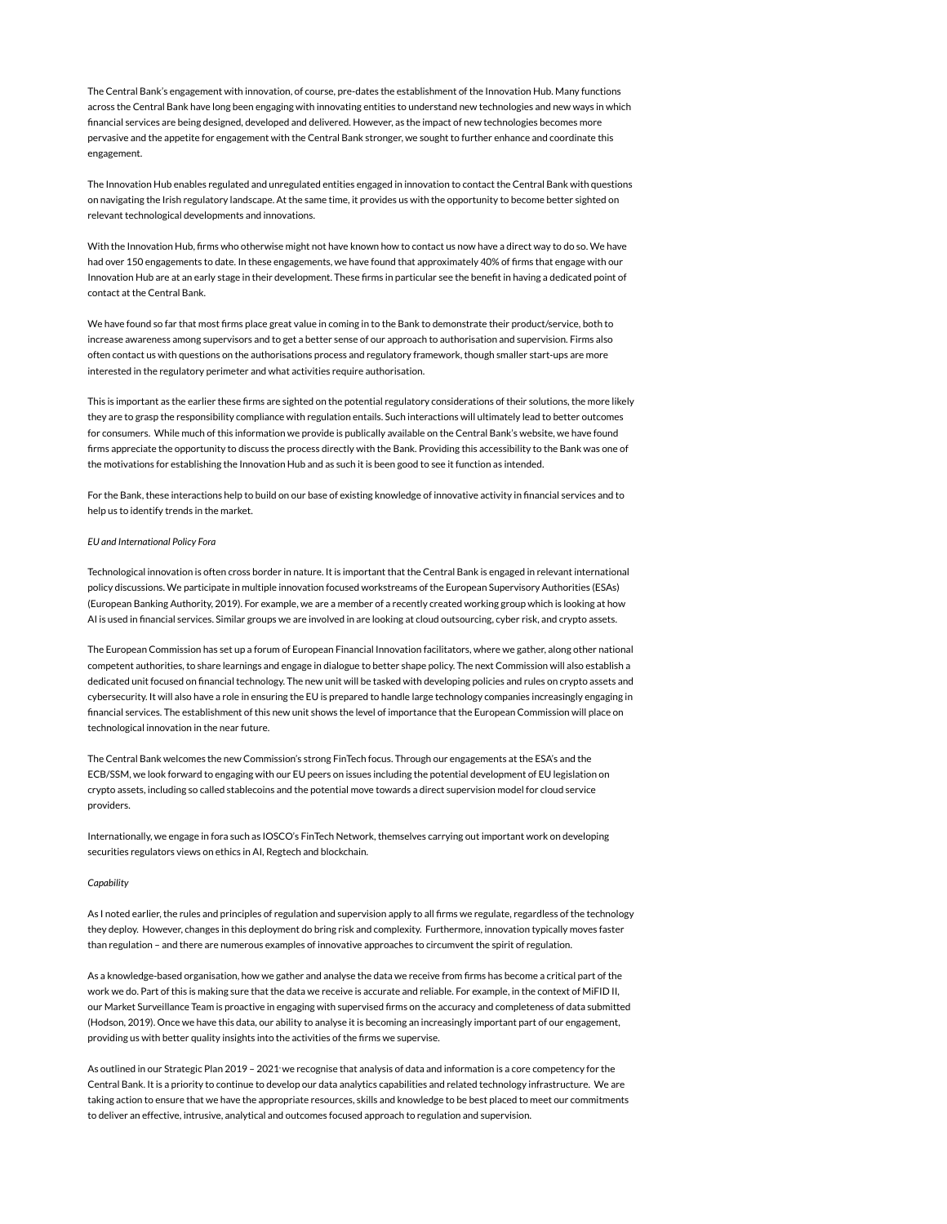The Central Bank's engagement with innovation, of course, pre-dates the establishment of the Innovation Hub. Many functions across the Central Bank have long been engaging with innovating entities to understand new technologies and new ways in which financial services are being designed, developed and delivered. However, as the impact of new technologies becomes more pervasive and the appetite for engagement with the Central Bank stronger, we sought to further enhance and coordinate this engagement.

The Innovation Hub enables regulated and unregulated entities engaged in innovation to contact the Central Bank with questions on navigating the Irish regulatory landscape. At the same time, it provides us with the opportunity to become better sighted on relevant technological developments and innovations.

With the Innovation Hub, firms who otherwise might not have known how to contact us now have a direct way to do so. We have had over 150 engagements to date. In these engagements, we have found that approximately 40% of firms that engage with our Innovation Hub are at an early stage in their development. These firms in particular see the benefit in having a dedicated point of contact at the Central Bank.

We have found so far that most firms place great value in coming in to the Bank to demonstrate their product/service, both to increase awareness among supervisors and to get a better sense of our approach to authorisation and supervision. Firms also often contact us with questions on the authorisations process and regulatory framework, though smaller start-ups are more interested in the regulatory perimeter and what activities require authorisation.

This is important as the earlier these firms are sighted on the potential regulatory considerations of their solutions, the more likely they are to grasp the responsibility compliance with regulation entails. Such interactions will ultimately lead to better outcomes for consumers. While much of this information we provide is publically available on the Central Bank's website, we have found firms appreciate the opportunity to discuss the process directly with the Bank. Providing this accessibility to the Bank was one of the motivations for establishing the Innovation Hub and as such it is been good to see it function as intended.

For the Bank, these interactions help to build on our base of existing knowledge of innovative activity in financial services and to help us to identify trends in the market.

### EU and International Policy Fora

Technological innovation is often cross border in nature. It is important that the Central Bank is engaged in relevant international policy discussions. We participate in multiple innovation focused workstreams of the European Supervisory Authorities (ESAs) (European Banking Authority, 2019). For example, we are a member of a recently created working group which is looking at how AI is used in financial services. Similar groups we are involved in are looking at cloud outsourcing, cyber risk, and crypto assets.

The European Commission has set up a forum of European Financial Innovation facilitators, where we gather, along other national competent authorities, to share learnings and engage in dialogue to better shape policy. The next Commission will also establish a dedicated unit focused on financial technology. The new unit will be tasked with developing policies and rules on crypto assets and cybersecurity. It will also have a role in ensuring the EU is prepared to handle large technology companies increasingly engaging in financial services. The establishment of this new unit shows the level of importance that the European Commission will place on technological innovation in the near future.

The Central Bank welcomes the new Commission's strong FinTech focus. Through our engagements at the ESA's and the ECB/SSM, we look forward to engaging with our EU peers on issues including the potential development of EU legislation on crypto assets, including so called stablecoins and the potential move towards a direct supervision model for cloud service providers.

Internationally, we engage in fora such as IOSCO's FinTech Network, themselves carrying out important work on developing securities regulators views on ethics in AI, Regtech and blockchain.

#### **Capability**

As I noted earlier, the rules and principles of regulation and supervision apply to all firms we regulate, regardless of the technology they deploy. However, changes in this deployment do bring risk and complexity. Furthermore, innovation typically moves faster than regulation – and there are numerous examples of innovative approaches to circumvent the spirit of regulation.

As a knowledge-based organisation, how we gather and analyse the data we receive from firms has become a critical part of the work we do. Part of this is making sure that the data we receive is accurate and reliable. For example, in the context of MiFID II, our Market Surveillance Team is proactive in engaging with supervised firms on the accuracy and completeness of data submitted (Hodson, 2019). Once we have this data, our ability to analyse it is becoming an increasingly important part of our engagement, providing us with better quality insights into the activities of the firms we supervise.

As outlined in our Strategic Plan 2019 – 2021 we recognise that analysis of data and information is a core competency for the , Central Bank. It is a priority to continue to develop our data analytics capabilities and related technology infrastructure. We are taking action to ensure that we have the appropriate resources, skills and knowledge to be best placed to meet our commitments to deliver an effective, intrusive, analytical and outcomes focused approach to regulation and supervision.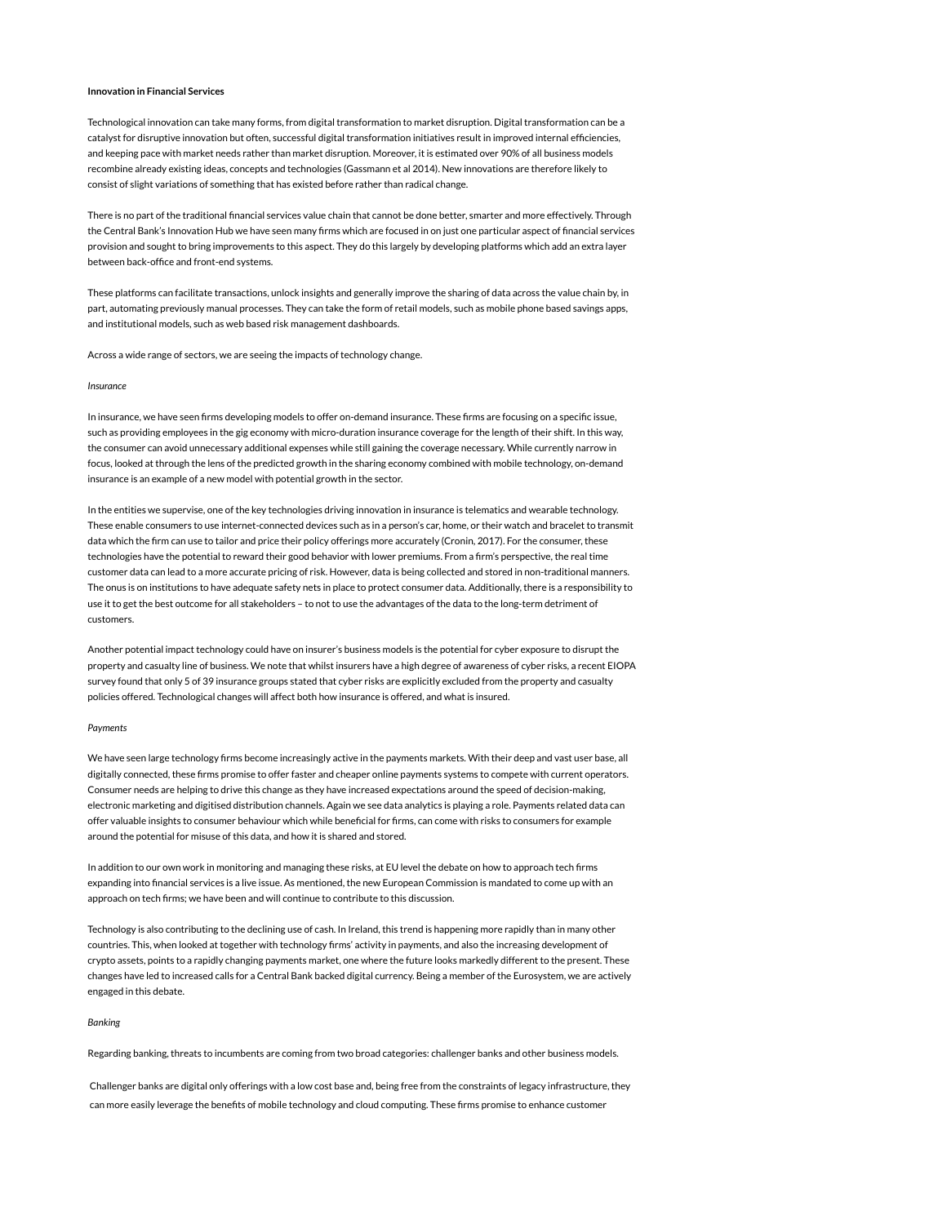### Innovation in Financial Services

Technological innovation can take many forms, from digital transformation to market disruption. Digital transformation can be a catalyst for disruptive innovation but often, successful digital transformation initiatives result in improved internal efficiencies, and keeping pace with market needs rather than market disruption. Moreover, it is estimated over 90% of all business models recombine already existing ideas, concepts and technologies (Gassmann et al 2014). New innovations are therefore likely to consist of slight variations of something that has existed before rather than radical change.

There is no part of the traditional financial services value chain that cannot be done better, smarter and more effectively. Through the Central Bank's Innovation Hub we have seen many firms which are focused in on just one particular aspect of financial services provision and sought to bring improvements to this aspect. They do this largely by developing platforms which add an extra layer between back-office and front-end systems.

These platforms can facilitate transactions, unlock insights and generally improve the sharing of data across the value chain by, in part, automating previously manual processes. They can take the form of retail models, such as mobile phone based savings apps, and institutional models, such as web based risk management dashboards.

Across a wide range of sectors, we are seeing the impacts of technology change.

#### Insurance

In insurance, we have seen firms developing models to offer on-demand insurance. These firms are focusing on a specific issue, such as providing employees in the gig economy with micro-duration insurance coverage for the length of their shift. In this way, the consumer can avoid unnecessary additional expenses while still gaining the coverage necessary. While currently narrow in focus, looked at through the lens of the predicted growth in the sharing economy combined with mobile technology, on-demand insurance is an example of a new model with potential growth in the sector.

In the entities we supervise, one of the key technologies driving innovation in insurance is telematics and wearable technology. These enable consumers to use internet-connected devices such as in a person's car, home, or their watch and bracelet to transmit data which the firm can use to tailor and price their policy offerings more accurately (Cronin, 2017). For the consumer, these technologies have the potential to reward their good behavior with lower premiums. From a firm's perspective, the real time customer data can lead to a more accurate pricing of risk. However, data is being collected and stored in non-traditional manners. The onus is on institutions to have adequate safety nets in place to protect consumer data. Additionally, there is a responsibility to use it to get the best outcome for all stakeholders – to not to use the advantages of the data to the long-term detriment of customers.

Another potential impact technology could have on insurer's business models is the potential for cyber exposure to disrupt the property and casualty line of business. We note that whilst insurers have a high degree of awareness of cyber risks, a recent EIOPA survey found that only 5 of 39 insurance groups stated that cyber risks are explicitly excluded from the property and casualty policies offered. Technological changes will affect both how insurance is offered, and what is insured.

#### **Payments**

We have seen large technology firms become increasingly active in the payments markets. With their deep and vast user base, all digitally connected, these firms promise to offer faster and cheaper online payments systems to compete with current operators. Consumer needs are helping to drive this change as they have increased expectations around the speed of decision-making, electronic marketing and digitised distribution channels. Again we see data analytics is playing a role. Payments related data can offer valuable insights to consumer behaviour which while beneficial for firms, can come with risks to consumers for example around the potential for misuse of this data, and how it is shared and stored.

In addition to our own work in monitoring and managing these risks, at EU level the debate on how to approach tech firms expanding into financial services is a live issue. As mentioned, the new European Commission is mandated to come up with an approach on tech firms; we have been and will continue to contribute to this discussion.

Technology is also contributing to the declining use of cash. In Ireland, this trend is happening more rapidly than in many other countries. This, when looked at together with technology firms' activity in payments, and also the increasing development of crypto assets, points to a rapidly changing payments market, one where the future looks markedly different to the present. These changes have led to increased calls for a Central Bank backed digital currency. Being a member of the Eurosystem, we are actively engaged in this debate.

### Banking

Regarding banking, threats to incumbents are coming from two broad categories: challenger banks and other business models.

Challenger banks are digital only offerings with a low cost base and, being free from the constraints of legacy infrastructure, they can more easily leverage the benefits of mobile technology and cloud computing. These firms promise to enhance customer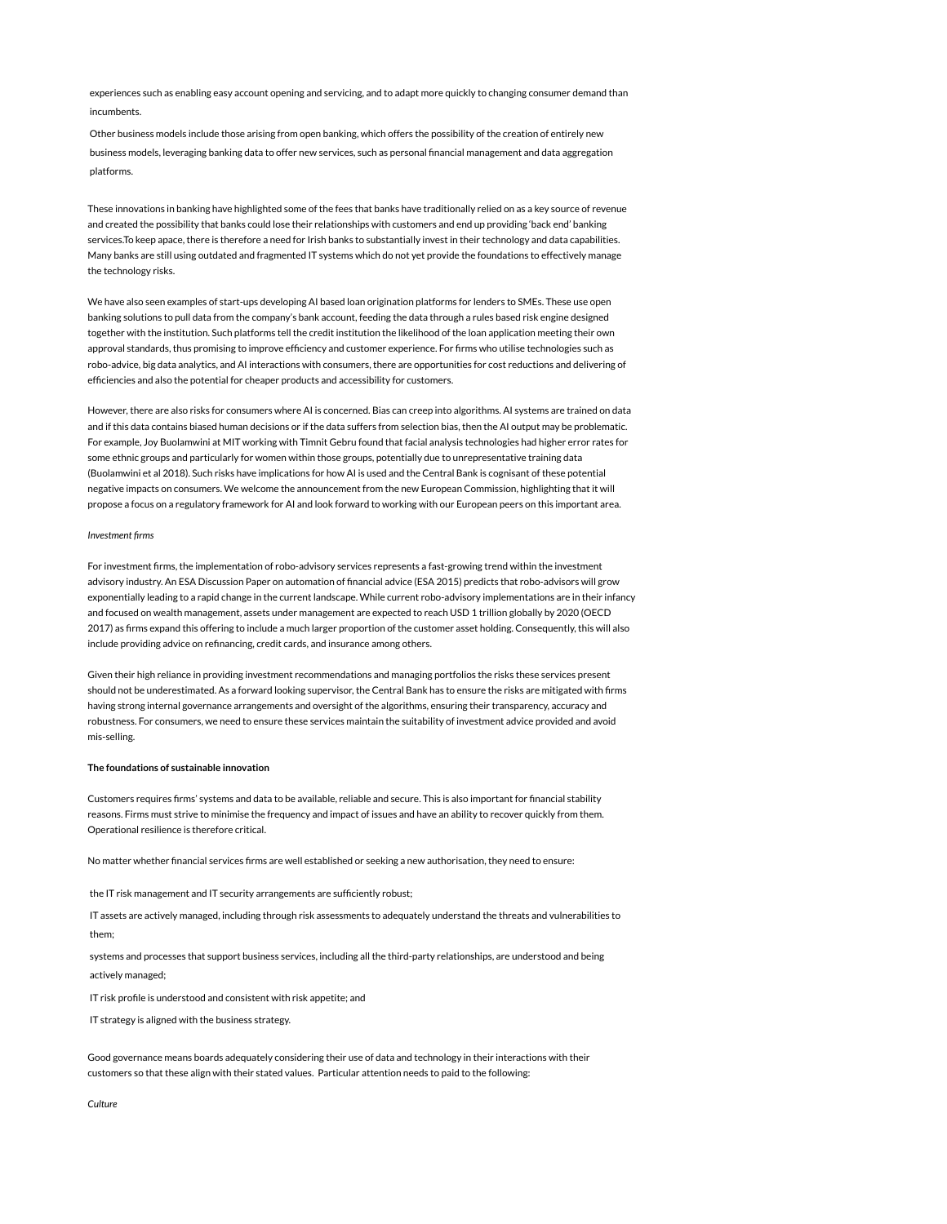experiences such as enabling easy account opening and servicing, and to adapt more quickly to changing consumer demand than incumbents.

Other business models include those arising from open banking, which offers the possibility of the creation of entirely new business models, leveraging banking data to offer new services, such as personal financial management and data aggregation platforms.

These innovations in banking have highlighted some of the fees that banks have traditionally relied on as a key source of revenue and created the possibility that banks could lose their relationships with customers and end up providing 'back end' banking services.To keep apace, there is therefore a need for Irish banks to substantially invest in their technology and data capabilities. Many banks are still using outdated and fragmented IT systems which do not yet provide the foundations to effectively manage the technology risks.

We have also seen examples of start-ups developing AI based loan origination platforms for lenders to SMEs. These use open banking solutions to pull data from the company's bank account, feeding the data through a rules based risk engine designed together with the institution. Such platforms tell the credit institution the likelihood of the loan application meeting their own approval standards, thus promising to improve efficiency and customer experience. For firms who utilise technologies such as robo-advice, big data analytics, and AI interactions with consumers, there are opportunities for cost reductions and delivering of efficiencies and also the potential for cheaper products and accessibility for customers.

However, there are also risks for consumers where AI is concerned. Bias can creep into algorithms. AI systems are trained on data and if this data contains biased human decisions or if the data suffers from selection bias, then the AI output may be problematic. For example, Joy Buolamwini at MIT working with Timnit Gebru found that facial analysis technologies had higher error rates for some ethnic groups and particularly for women within those groups, potentially due to unrepresentative training data (Buolamwini et al 2018). Such risks have implications for how AI is used and the Central Bank is cognisant of these potential negative impacts on consumers. We welcome the announcement from the new European Commission, highlighting that it will propose a focus on a regulatory framework for AI and look forward to working with our European peers on this important area.

### Investment firms

For investment firms, the implementation of robo-advisory services represents a fast-growing trend within the investment advisory industry. An ESA Discussion Paper on automation of financial advice (ESA 2015) predicts that robo-advisors will grow exponentially leading to a rapid change in the current landscape. While current robo-advisory implementations are in their infancy and focused on wealth management, assets under management are expected to reach USD 1 trillion globally by 2020 (OECD 2017) as firms expand this offering to include a much larger proportion of the customer asset holding. Consequently, this will also include providing advice on refinancing, credit cards, and insurance among others.

Given their high reliance in providing investment recommendations and managing portfolios the risks these services present should not be underestimated. As a forward looking supervisor, the Central Bank has to ensure the risks are mitigated with firms having strong internal governance arrangements and oversight of the algorithms, ensuring their transparency, accuracy and robustness. For consumers, we need to ensure these services maintain the suitability of investment advice provided and avoid mis-selling.

### The foundations of sustainable innovation

Customers requires firms' systems and data to be available, reliable and secure. This is also important for financial stability reasons. Firms must strive to minimise the frequency and impact of issues and have an ability to recover quickly from them. Operational resilience is therefore critical.

No matter whether financial services firms are well established or seeking a new authorisation, they need to ensure:

the IT risk management and IT security arrangements are sufficiently robust;

IT assets are actively managed, including through risk assessments to adequately understand the threats and vulnerabilities to them;

systems and processes that support business services, including all the third-party relationships, are understood and being actively managed;

IT risk profile is understood and consistent with risk appetite; and

IT strategy is aligned with the business strategy.

Good governance means boards adequately considering their use of data and technology in their interactions with their customers so that these align with their stated values. Particular attention needs to paid to the following:

Culture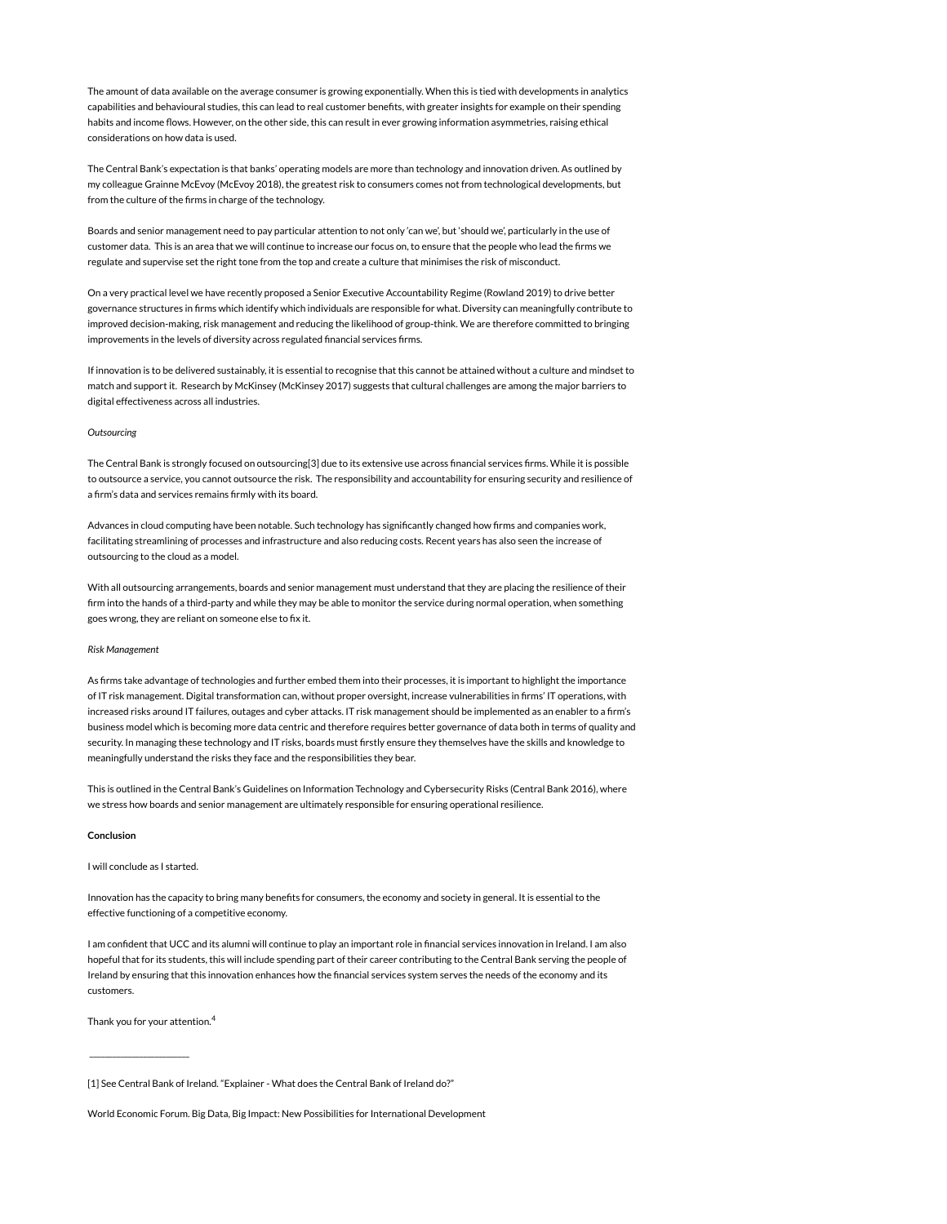The amount of data available on the average consumer is growing exponentially. When this is tied with developments in analytics capabilities and behavioural studies, this can lead to real customer benefits, with greater insights for example on their spending habits and income flows. However, on the other side, this can result in ever growing information asymmetries, raising ethical considerations on how data is used.

The Central Bank's expectation is that banks' operating models are more than technology and innovation driven. As outlined by my colleague Grainne McEvoy (McEvoy 2018), the greatest risk to consumers comes not from technological developments, but from the culture of the firms in charge of the technology.

Boards and senior management need to pay particular attention to not only 'can we', but 'should we', particularly in the use of customer data. This is an area that we will continue to increase our focus on, to ensure that the people who lead the firms we regulate and supervise set the right tone from the top and create a culture that minimises the risk of misconduct.

On a very practical level we have recently proposed a Senior Executive Accountability Regime (Rowland 2019) to drive better governance structures in firms which identify which individuals are responsible for what. Diversity can meaningfully contribute to improved decision-making, risk management and reducing the likelihood of group-think. We are therefore committed to bringing improvements in the levels of diversity across regulated financial services firms.

If innovation is to be delivered sustainably, it is essential to recognise that this cannot be attained without a culture and mindset to match and support it. Research by McKinsey (McKinsey 2017) suggests that cultural challenges are among the major barriers to digital effectiveness across all industries.

### **Outsourcing**

The Central Bank is strongly focused on outsourcing[3] due to its extensive use across financial services firms. While it is possible to outsource a service, you cannot outsource the risk. The responsibility and accountability for ensuring security and resilience of a firm's data and services remains firmly with its board.

Advances in cloud computing have been notable. Such technology has significantly changed how firms and companies work, facilitating streamlining of processes and infrastructure and also reducing costs. Recent years has also seen the increase of outsourcing to the cloud as a model.

With all outsourcing arrangements, boards and senior management must understand that they are placing the resilience of their firm into the hands of a third-party and while they may be able to monitor the service during normal operation, when something goes wrong, they are reliant on someone else to fix it.

#### Risk Management

As firms take advantage of technologies and further embed them into their processes, it is important to highlight the importance of IT risk management. Digital transformation can, without proper oversight, increase vulnerabilities in firms' IT operations, with increased risks around IT failures, outages and cyber attacks. IT risk management should be implemented as an enabler to a firm's business model which is becoming more data centric and therefore requires better governance of data both in terms of quality and security. In managing these technology and IT risks, boards must firstly ensure they themselves have the skills and knowledge to meaningfully understand the risks they face and the responsibilities they bear.

This is outlined in the Central Bank's Guidelines on Information Technology and Cybersecurity Risks (Central Bank 2016), where we stress how boards and senior management are ultimately responsible for ensuring operational resilience.

### Conclusion

I will conclude as I started.

Innovation has the capacity to bring many benefits for consumers, the economy and society in general. It is essential to the effective functioning of a competitive economy.

I am confident that UCC and its alumni will continue to play an important role in financial services innovation in Ireland. I am also hopeful that for its students, this will include spending part of their career contributing to the Central Bank serving the people of Ireland by ensuring that this innovation enhances how the financial services system serves the needs of the economy and its customers.

Thank you for your attention. 4

 $\frac{1}{2}$  ,  $\frac{1}{2}$  ,  $\frac{1}{2}$  ,  $\frac{1}{2}$  ,  $\frac{1}{2}$  ,  $\frac{1}{2}$  ,  $\frac{1}{2}$  ,  $\frac{1}{2}$  ,  $\frac{1}{2}$  ,  $\frac{1}{2}$  ,  $\frac{1}{2}$  ,  $\frac{1}{2}$  ,  $\frac{1}{2}$  ,  $\frac{1}{2}$  ,  $\frac{1}{2}$  ,  $\frac{1}{2}$  ,  $\frac{1}{2}$  ,  $\frac{1}{2}$  ,  $\frac{1$ 

World Economic Forum. Big Data, Big Impact: New Possibilities for International Development

<sup>[1]</sup> See Central Bank of Ireland. "Explainer - What does the Central Bank of Ireland do?"